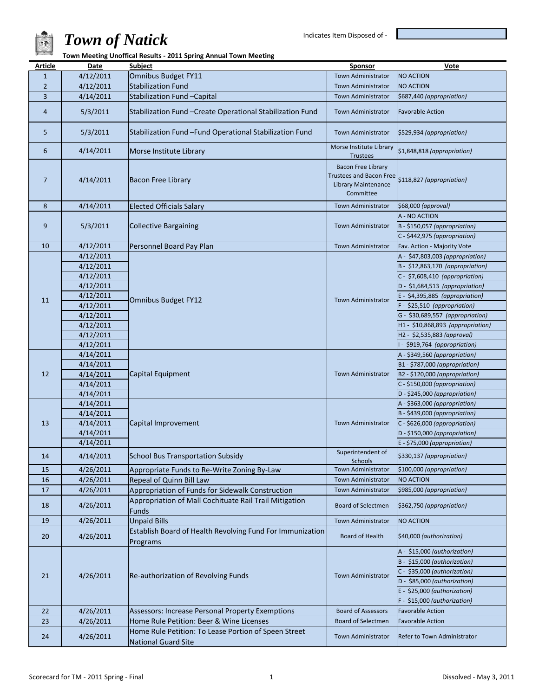

## *Town of Natick*

| <b>Article</b> | Date      | Subject                                                               | Sponsor                                                                                                | Vote                                                            |
|----------------|-----------|-----------------------------------------------------------------------|--------------------------------------------------------------------------------------------------------|-----------------------------------------------------------------|
| $\mathbf{1}$   | 4/12/2011 | Omnibus Budget FY11                                                   | <b>Town Administrator</b>                                                                              | <b>NO ACTION</b>                                                |
| $\overline{2}$ | 4/12/2011 | <b>Stabilization Fund</b>                                             | Town Administrator                                                                                     | <b>NO ACTION</b>                                                |
| 3              | 4/14/2011 | Stabilization Fund -Capital                                           | Town Administrator                                                                                     | \$687,440 (appropriation)                                       |
|                |           |                                                                       |                                                                                                        |                                                                 |
| 4              | 5/3/2011  | Stabilization Fund - Create Operational Stabilization Fund            | Town Administrator                                                                                     | <b>Favorable Action</b>                                         |
| 5              | 5/3/2011  | Stabilization Fund - Fund Operational Stabilization Fund              | Town Administrator                                                                                     | \$529,934 (appropriation)                                       |
| 6              | 4/14/2011 | Morse Institute Library                                               | Morse Institute Library<br><b>Trustees</b>                                                             | \$1,848,818 (appropriation)                                     |
| 7              | 4/14/2011 | <b>Bacon Free Library</b>                                             | <b>Bacon Free Library</b><br><b>Trustees and Bacon Free</b><br><b>Library Maintenance</b><br>Committee | \$118,827 (appropriation)                                       |
| 8              | 4/14/2011 | <b>Elected Officials Salary</b>                                       | Town Administrator                                                                                     | \$68,000 (approval)                                             |
| 9              | 5/3/2011  | <b>Collective Bargaining</b>                                          | Town Administrator                                                                                     | A - NO ACTION                                                   |
|                |           |                                                                       |                                                                                                        | $B - $150,057$ (appropriation)<br>C - \$442,975 (appropriation) |
|                |           |                                                                       |                                                                                                        |                                                                 |
| 10             | 4/12/2011 | Personnel Board Pay Plan                                              | <b>Town Administrator</b>                                                                              | Fav. Action - Majority Vote                                     |
|                | 4/12/2011 |                                                                       |                                                                                                        | A - \$47,803,003 (appropriation)                                |
|                | 4/12/2011 |                                                                       |                                                                                                        | B - \$12,863,170 (appropriation)                                |
|                | 4/12/2011 |                                                                       |                                                                                                        | C - \$7,608,410 (appropriation)                                 |
|                | 4/12/2011 |                                                                       |                                                                                                        | D - \$1,684,513 (appropriation)                                 |
|                | 4/12/2011 |                                                                       |                                                                                                        | E - \$4,395,885 (appropriation)                                 |
| 11             | 4/12/2011 | <b>Omnibus Budget FY12</b>                                            | <b>Town Administrator</b>                                                                              | F - \$25,510 (appropriation)                                    |
|                | 4/12/2011 |                                                                       |                                                                                                        | G - \$30,689,557 (appropriation)                                |
|                |           |                                                                       |                                                                                                        |                                                                 |
|                | 4/12/2011 |                                                                       |                                                                                                        | H1 - \$10,868,893 (appropriation)                               |
|                | 4/12/2011 |                                                                       |                                                                                                        | H2 - \$2,535,883 (approval)                                     |
|                | 4/12/2011 |                                                                       |                                                                                                        | - \$919,764 (appropriation)                                     |
|                | 4/14/2011 |                                                                       | <b>Town Administrator</b>                                                                              | A - \$349,560 (appropriation)                                   |
|                | 4/14/2011 |                                                                       |                                                                                                        | B1 - \$787,000 (appropriation)                                  |
| 12             | 4/14/2011 | Capital Equipment                                                     |                                                                                                        | B2 - \$120,000 (appropriation)                                  |
|                | 4/14/2011 |                                                                       |                                                                                                        | C - \$150,000 (appropriation)                                   |
|                | 4/14/2011 |                                                                       |                                                                                                        | $D - $245,000 (approx$                                          |
|                | 4/14/2011 |                                                                       | Town Administrator                                                                                     | A - \$363,000 (appropriation)                                   |
|                |           |                                                                       |                                                                                                        |                                                                 |
|                | 4/14/2011 |                                                                       |                                                                                                        | B - \$439,000 (appropriation)                                   |
| 13             | 4/14/2011 | Capital Improvement                                                   |                                                                                                        | C - \$626,000 (appropriation)                                   |
|                | 4/14/2011 |                                                                       |                                                                                                        | D - \$150,000 (appropriation)                                   |
|                | 4/14/2011 |                                                                       |                                                                                                        | E - \$75,000 (appropriation)                                    |
| 14             | 4/14/2011 | <b>School Bus Transportation Subsidy</b>                              | Superintendent of<br>Schools                                                                           | \$330,137 (appropriation)                                       |
| 15             | 4/26/2011 | Appropriate Funds to Re-Write Zoning By-Law                           | Town Administrator                                                                                     | \$100,000 (appropriation)                                       |
| 16             | 4/26/2011 | Repeal of Quinn Bill Law                                              | Town Administrator                                                                                     | <b>NO ACTION</b>                                                |
| 17             | 4/26/2011 | Appropriation of Funds for Sidewalk Construction                      | Town Administrator                                                                                     | \$985,000 (appropriation)                                       |
| 18             | 4/26/2011 | Appropriation of Mall Cochituate Rail Trail Mitigation<br>Funds       | Board of Selectmen                                                                                     | \$362,750 (appropriation)                                       |
| 19             | 4/26/2011 | <b>Unpaid Bills</b>                                                   | Town Administrator                                                                                     | <b>NO ACTION</b>                                                |
| 20             | 4/26/2011 | Establish Board of Health Revolving Fund For Immunization<br>Programs | Board of Health                                                                                        | \$40,000 (authorization)                                        |
|                | 4/26/2011 | Re-authorization of Revolving Funds                                   | Town Administrator                                                                                     | A - \$15,000 (authorization)                                    |
|                |           |                                                                       |                                                                                                        |                                                                 |
|                |           |                                                                       |                                                                                                        | $B - $15,000$ (authorization)                                   |
| 21             |           |                                                                       |                                                                                                        | C - \$35,000 (authorization)                                    |
|                |           |                                                                       |                                                                                                        | D - \$85,000 (authorization)                                    |
|                |           |                                                                       |                                                                                                        | E - \$25,000 (authorization)                                    |
|                |           |                                                                       |                                                                                                        | F - \$15,000 (authorization)                                    |
| 22             | 4/26/2011 | Assessors: Increase Personal Property Exemptions                      | <b>Board of Assessors</b>                                                                              | <b>Favorable Action</b>                                         |
| 23             | 4/26/2011 | Home Rule Petition: Beer & Wine Licenses                              | <b>Board of Selectmen</b>                                                                              | <b>Favorable Action</b>                                         |
|                |           | Home Rule Petition: To Lease Portion of Speen Street                  |                                                                                                        |                                                                 |
| 24             | 4/26/2011 | <b>National Guard Site</b>                                            | Town Administrator                                                                                     | Refer to Town Administrator                                     |